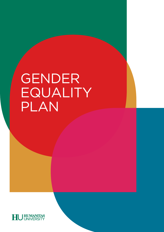# GENDER EQUALITY PLAN

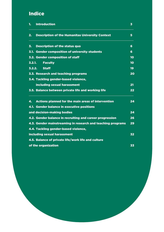# Indice

| 1.     | <b>Introduction</b>                                         | 3  |
|--------|-------------------------------------------------------------|----|
| 2.     | <b>Description of the Humanitas University Context</b>      | 5  |
| 3.     | <b>Description of the status quo</b>                        | 6  |
| 3.1.   | <b>Gender composition of university students</b>            | 6  |
|        | 3.2. Gender composition of staff                            | 10 |
| 3.2.1. | <b>Faculty</b>                                              | 10 |
| 3.2.2. | <b>Staff</b>                                                | 19 |
|        | 3.3. Research and teaching programs                         | 20 |
|        | 3.4. Tackling gender-based violence,                        |    |
|        | including sexual harassment                                 | 21 |
|        | 3.5. Balance between private life and working life          | 22 |
| 4.     | <b>Actions planned for the main areas of intervention</b>   | 24 |
|        | 4.1. Gender balance in executive positions                  |    |
|        | and decision-making bodies                                  | 24 |
|        | 4.2. Gender balance in recruiting and career progression    | 26 |
|        | 4.3. Gender mainstreaming in research and teaching programs | 29 |
|        | 4.4. Tackling gender-based violence,                        |    |
|        | including sexual harassment                                 | 32 |
|        | 4.5. Balance of private life/work life and culture          |    |
|        | of the organization                                         | 33 |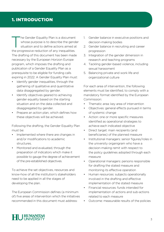# 1. INTRODUCTION

The Gender Equality Plan is a document whose purpose is to describe the gender situation and to define actions aimed at the progressive reduction of any inequalities. The drafting of this document has been made necessary by the European Horizon Europe program, which imposes the drafting and publication of a Gender Equality Plan as a prerequisite to be eligible for funding calls expiring in 2022. A Gender Equality Plan must:

- Identify gender inequalities, through the gathering of qualitative and quantitative data disaggregated by gender.
- Identify objectives geared to achieving gender equality based on the starting situation and on the data collected and disaggregated by gender.
- Prepare an action plan, which defines how these objectives will be achieved.

Following the drafting, the Gender Equality Plan must be:

- Implemented where there are changes in and/or modifications to academic structures.
- Monitored and evaluated, through the preparation of indicators which make it possible to gauge the degree of achievement of the pre-established objectives.

To achieve the set objectives, resources and know-how of all the institution's stakeholders need to be applied in all the stages of developing the plan.

The European Commission defines (a minimum of) five areas of intervention which the initiatives recommended in this document must address:

- 1. Gender balance in executive positions and decision-making bodies
- 2. Gender balance in recruiting and career progression
- 3. Integration of the gender dimension in research and teaching programs
- 4. Tackling gender-based violence, including sexual harassment
- 5. Balancing private and work life and organizational culture

For each area of intervention, the following elements must be identified, to comply with a mandatory format identified by the European Commission:

- Thematic area: key area of intervention
- Objectives: general effects pursued in terms of systemic change
- Action: one or more specific measures identified as operational strategies to achieve each indicated objective
- Direct target: main recipients (and beneficiaries) of the planned measure
- Institutional managers: senior figures/roles in the university organigram who have a decision-making remit with respect to the policy guidelines adopted through each measure
- Operational managers: persons responsible for drafting the stated measure and monitoring its effective operation
- Human resources: subjects operationally involved in the drafting and effective implementation of the stated measure
- Financial resources: funds intended for implementation of actions and sub-actions related to each measure
- Outcome: measurable results of the policies

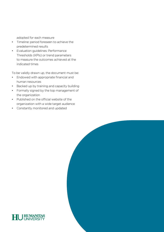adopted for each measure

- Timeline: period foreseen to achieve the predetermined results
- Evaluation guidelines: Performance Thresholds (KPIs) or trend parameters to measure the outcomes achieved at the indicated times

To be validly drawn up, the document must be:

- Endowed with appropriate financial and human resources
- Backed up by training and capacity building
- Formally signed by the top management of the organization
- Published on the official website of the organization with a wide target audience
- Constantly monitored and updated



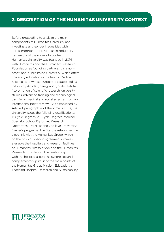# 2. DESCRIPTION OF THE HUMANITAS UNIVERSITY CONTEXT

Before proceeding to analyze the main components of Humanitas University and investigate any gender inequalities within it, it is important to provide an introductory framework of the university context. Humanitas University was founded in 2014 with Humanitas and the Humanitas Research Foundation as founding partners. It is a nonprofit, non-public Italian University, which offers university education in the field of Medical Sciences and whose purpose is established as follows by Article 1, paragraph 1, of its Statute: "...promotion of scientific research, university studies, advanced training and technological transfer in medical and social sciences from an international point of view." As established by Article 1, paragraph 4, of the same Statute, the University issues the following qualifications: 1<sup>st</sup> Cycle Degrees, 2<sup>nd</sup> Cycle Degrees, Medical Specialty School Diplomas, Research Doctorates (PhD), 1st and 2nd level University Master's programs. The Statute establishes the close link with the Humanitas Group, which, on the basis of specific agreements, makes available the hospitals and research facilities of Humanitas Mirasole SpA and the Humanitas Research Foundation. The relationship with the hospital allows the synergistic and complementary pursuit of the main points of the Humanitas Group Mission: Education, a Teaching Hospital, Research and Sustainability.



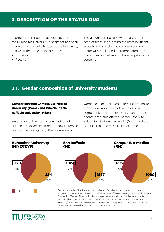# 3. DESCRIPTION OF THE STATUS QUO

In order to describe the gender situation at the Humanitas University, a snapshot has been made of the current situation at the University, analyzing the three main categories:

- **Students**
- Faculty
- Staff

The gender composition was analyzed for each of these, highlighting the most pertinent aspects. Where relevant, comparisons were made with similar and therefore comparable universities, as well as with broader geographic contexts.

# 3.1. Gender composition of university students

## Comparison with Campus Bio-Medico University (Rome) and Vita-Salute San Raffaele University (Milan)

An analysis of the gender composition of Humanitas University students shows a female predominance (Figure 1); the prevalence of

women can be observed in remarkably similar proportions also in two other universities, comparable both in terms of size and for the degree programs offered, namely, the Vita-Salute San Raffaele University (Milan) and the Campus Bio-Medico University (Rome).



male **Figure 1.** Analysis of the frequency of males and females among students of the study programs of Humanitas University, Vita-Salute San Raffaele University (Milan) and Campus Bio-medico (Rome). The graphs show the percentage and total number of students subdivided by gender. Source: Esse3 at 2017-2018. USTAT http://ustat.miur.it/dati/ didattica/italia/atenei-non-statali/milano-san-raffaele, http://ustat.miur.it/dati/didattica/ italia/atenei-non-statali/roma-biomedico, for a.y. 2017-18.

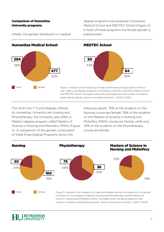## Comparison of Humanitas University programs

Initially, the gender distribution in medical

degree programs was analyzed: Humanitas Medical School and MEDTEC School (Figure 2). In both of these programs the female gender is predominant.



The other two 1<sup>st</sup> Cycle Degrees offered by Humanitas University are Nursing and Physiotherapy; the University also offers a Master's degree program called Masters of Science in Nursing and Midwifery (MSN) (Figure 3). A comparison of the gender composition of these three Degree Programs shows the

following results: 76% of the students on the Nursing course are female, 78% of the students on the Masters of Science in Nursing and Midwifery (MSN) course are female, while only 34% of the students on the Physiotherapy course are female.



University 1st Cycle Degree programs: Nursing and Physiotherapy, and the Masters of Science in Nursing and Midwifery (MSN). The graphs show the percentage and total number of students subdivided by gender. Source: Humanitas University – Esse3 in 2020.

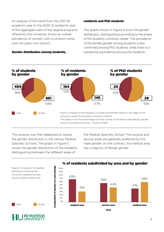An analysis of the trend from the 2017-18 academic year to the 2020-21 academic year of the aggregate data of the degree programs offered by the University shows an overall prevalence of women, with a constant trend over the years (not shown).

## Gender distribution among students,

## residents and PhD students

The graphs shown in Figure 4 show the gender distribution, distinguishing according to the phase of the students' university career. The prevalence of the female gender among students is also confirmed among PhD students, while there is a substantial equivalence among the residents.



This analysis was then deepened to assess the gender distribution in the various Medical Specialty Schools. The graph in Figure 5 shows the gender distribution of the residents, distinguishing between the different areas of

Composition of gender as a percentage

Composition of gender as a percentage

the Medical Specialty School. The surgical and service areas are generally preferred by the male gender; on the contrary, the medical area has a majority of female gender.



# % of residents subdivided by area and by gender



male **female** 

Figure 5. Analysis of the gender distribution of Humanitas University residents by area. Source: Esse3 at 2020-2021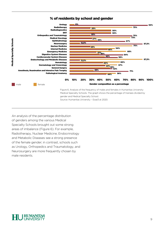



An analysis of the percentage distribution of genders among the various Medical Specialty Schools brought out some strong areas of imbalance (Figure 6). For example, Radiotherapy, Nuclear Medicine, Endocrinology and Metabolic Diseases see a strong presence of the female gender; in contrast, schools such as Urology, Orthopedics and Traumatology, and Neurosurgery are more frequently chosen by male residents.

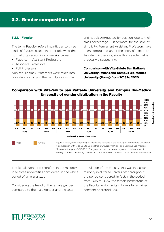# 3.2. Gender composition of staff

## 3.2.1. Faculty

The term 'Faculty' refers in particular to three kinds of figures, placed in order following the normal progression in a university career:

- Fixed-term Assistant Professors
- Associate Professors
- Full Professors

Non-tenure track Professors were taken into consideration only in the Faculty as a whole

and not disaggregated by position, due to their small percentage. Furthermore, for the sake of simplicity, Permanent Assistant Professors have been aggregated under the entry of Fixed-term Assistant Professors, since this is a role that is gradually disappearing.

Comparison with Vita-Salute San Raffaele University (Milan) and Campus Bio-Medico University (Rome) from 2015 to 2020

## Comparison with Vita-Salute San Raffaele University and Campus Bio-Medico University of gender distribution in the Faculty



male female

Figure 7. Analysis of frequency of males and females in the Faculty of Humanitas University in comparison with Vita-Salute San Raffaele University (Milan) and Campus Bio-medico (Rome), in the years 2015-2021. The graph shows the percentage and total number of Faculty members, including non-tenure track Professors. Source: Cerca Università (cineca.it)

The female gender is therefore in the minority in all three universities considered, in the whole period of time analyzed

Considering the trend of the female gender compared to the male gender and the total population of the Faculty, this was in a clear minority in all three universities throughout the period considered. In fact, in the period from 2015 to 2020, the female percentage of the Faculty in Humanitas University remained constant at around 22%.

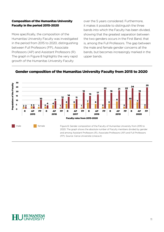## Composition of the Humanitas University Faculty in the period 2015-2020

More specifically, the composition of the Humanitas University Faculty was investigated in the period from 2015 to 2020, distinguishing between Full Professors (FP), Associate Professors (AP) and Assistant Professors (R). The graph in Figure 8 highlights the very rapid growth of the Humanitas University Faculty

over the 5 years considered. Furthermore, it makes it possible to distinguish the three bands into which the Faculty has been divided, showing that the greatest separation between the two genders occurs in the First Band, that is, among the Full Professors. The gap between the male and female gender concerns all the bands, but becomes increasingly marked in the upper bands.



## Gender composition of the Humanitas University Faculty from 2015 to 2020

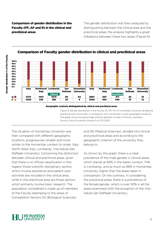Comparison of gender distribution in the Faculty (FP, AP and R) in the clinical and preclinical areas

The gender distribution was then analyzed by distinguishing between the clinical area and the preclinical areas; the analysis highlights a great imbalance between these two areas (Figure 9).



## Comparison of Faculty gender distribution in clinical and preclinical areas

Geographic contexts distinguished by clinical and preclinical areas

Figure 9. Gender distribution in the Faculty (R, AP, FP) of Humanitas University divided by preclinical and clinical area, in comparison with universities in other geographic locations. The graph shows the percentage and the absolute number of Faculty members. Source: Cerca Università (cineca.it) at 31.12.2020

The situation of Humanitas University was then compared with different geographic locations, progressively smaller and more similar to the Humanitas context (in order: Italy, North-West Italy, Lombardy, Vita-Salute San Raffaele University). Concerning the distinction between clinical and preclinical areas, given that there is no official classification in this regard, those scientific disciplinary sectors which involve assistance and patient care activities are included in the clinical area, while in the preclinical area are those sectors which primarily involve basic research. The population considered is made up of members of the Faculty belonging to the areas of Competition Sectors 05 (Biological Sciences)

and 06 (Medical Sciences), divided into clinical and preclinical areas and according to the geographic criterion of the university they belong to.

As shown by the graph, there is a clear prevalence of the male gender in clinical areas, which stands at 69% in the Italian context, 74% in Lombardy, and as much as 88% in Humanitas University, higher than the areas taken in comparison. On the contrary, in considering the preclinical areas, there is a prevalence of the female gender, which is over 50% in all the areas examined (with the exception of the Vita-Salute San Raffaele University).



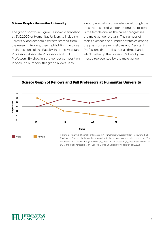## Scissor Graph - Humanitas University

The graph shown in Figure 10 shows a snapshot at 31.12.2020 of Humanitas University including university and academic careers starting from the research fellows, then highlighting the three main positions of the Faculty, in order: Assistant Professors, Associate Professors and Full Professors. By showing the gender composition in absolute numbers, this graph allows us to

identify a situation of imbalance: although the most represented gender among the fellows is the female one, as the career progresses, the male gender prevails. The number of males exceeds the number of females among the posts of research fellows and Assistant Professors; this implies that all three bands which make up the university's Faculty are mostly represented by the male gender.



Scissor Graph of Fellows and Full Professors at Humanitas University

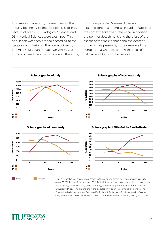To make a comparison, the members of the Faculty belonging to the Scientific Disciplinary Sectors of areas 05 – Biological Sciences and 06 – Medical Sciences were examined. This population was then divided according to the geographic criterion of the home university. The Vita-Salute San Raffaele University was also considered the most similar and, therefore, most comparable Milanese University. First and foremost, there is an evident gap in all the contexts taken as a reference. In addition, the point of detachment, and therefore of the ascent of the male gender and the descent of the female presence, is the same in all the contexts analyzed, i.e., among the roles of Fellows and Assistant Professors.



areas 05 (Biological Sciences) and 06 (Medical Sciences), grouped according to geographic criteria (Italy, Northwest Italy and Lombardy) and including the Vita-Salute San Raffaele University (Milan). The graphs show the population in each role, divided by gender. The Population is divided among: Fellows (F), Assistant Professors (R), Associate Professors (AP) and Full Professors (FP). Source: USTAT - International Indicators (miur.it) as of 2019

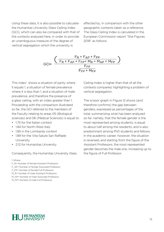Using these data, it is also possible to calculate the Humanitas University Glass Ceiling Index (GCI), which can also be compared with that of the contexts analyzed here, in order to provide an unambiguous measure of the degree of vertical segregation which the university is

affected by, in comparison with the other geographic contexts taken as a reference. The Glass Ceiling Index is calculated in the European Commission report "She Figures 2018" as follows:



This index<sup>1</sup> shows a situation of parity where it equals 1, a situation of female prevalence where it is less than 1, and a situation of male prevalence, and therefore the presence of a glass ceiling, with an index greater than 1. Proceeding with the comparison illustrated so far, the GCI referred to the members of the Faculty relating to areas 05 (Biological sciences) and 06 (Medical Sciences) is equal to:

- 1.75 for the Italian context
- 1.84 for North-West Italy
- 1.85 in the Lombardy context
- 1.89 for the Vita-Salute San Raffaele University
- 2.12 for Humanitas University

Consequently, the Humanitas University Glass

#### 1 Where:

F\_R= Number of female Assistant Professors F\_AP= Number of female Associate Professors F\_FP= Number of female Full Professors M\_R= Number of male Assistant Professors M\_AP= Number of male Associate Professors M\_FP= Number of male Full Professors

Ceiling Index is higher than that of all the contexts compared, highlighting a problem of vertical segregation.

The scissor graph in Figure 12 shows (and therefore confirms) the gap between genders, expressed as percentages of the total, summarizing what has been analyzed so far: namely, that the female gender is the most represented among students, is equal to about half among the residents, and is also predominant among PhD students and fellows. In the academic career, however, the situation is reversed, and starting from the figure of the Assistant Professors, the most represented gender becomes the male one, increasing up to the figure of Full Professor.

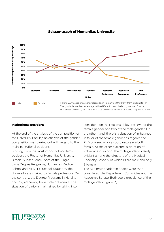

## Scissor graph of Humanitas University

## Institutional positions

At the end of the analysis of the composition of the University Faculty, an analysis of the gender composition was carried out with regard to the main institutional positions.

Starting from the most important academic position, the Rector of Humanitas University is male. Subsequently, both of the Singlecycle Degree Programs, Humanitas Medical School and MEDTEC School, taught by the University are chaired by female professors. On the contrary, the Degree Programs in Nursing and Physiotherapy have male presidents. The situation of parity is maintained by taking into

consideration the Rector's delegates: two of the female gender and two of the male gender. On the other hand, there is a situation of imbalance in favor of the female gender as regards the PhD courses, whose coordinators are both female. At the other extreme, a situation of imbalance in favor of the male gender is clearly evident among the directors of the Medical Specialty Schools, of which 18 are male and only 3 female.

The two main academic bodies were then considered: the Department Committee and the Academic Senate. Both see a prevalence of the male gender (Figure 13).

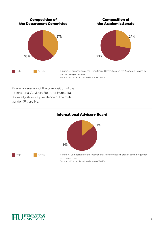

Finally, an analysis of the composition of the International Advisory Board of Humanitas University shows a prevalence of the male gender (Figure 14).



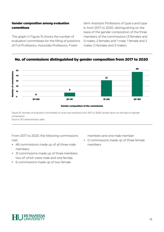## Gender composition among evaluation committees

The graph in Figure 15 shows the number of evaluation committees for the filling of positions of Full Professors, Associate Professors, Fixedterm Assistant Professors of type a and type b, from 2017 to 2020, distinguishing on the basis of the gender composition of the three members of the commissions (3 females and 0 males; 2 females and 1 male; 1 female and 2 males; 0 females and 3 males).

## No. of commissions distinguished by gender composition from 2017 to 2020



Figure 15. Number of evaluation committees to cover new positions from 2017 to 2020, broken down on the basis of gender composition. Source: HCI administration data

From 2017 to 2020, the following commissions met:

- 46 commissions made up of all three male members
- 31 commissions made up of three members, two of which were male and one female
- 6 commissions made up of two female

members and one male member

• 0 commissions made up of three female members

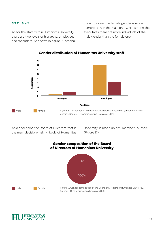## 3.2.2. Staff

As for the staff, within Humanitas University there are two levels of hierarchy: employees and managers. As shown in figure 16, among the employees the female gender is more numerous than the male one, while among the executives there are more individuals of the male gender than the female one.



Gender distribution of Humanitas University staff

As a final point, the Board of Directors, that is, the main decision-making body of Humanitas

University, is made up of 9 members, all male (Figure 17).



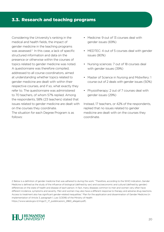# 3.3. Research and teaching programs

Considering the University's ranking in the medical and health fields, the impact of gender medicine in the teaching programs was assessed.<sup>2</sup> In this case, a lack of specific structured information and data on the presence or otherwise within the courses of topics related to gender medicine was noted. A questionnaire was therefore compiled, addressed to all course coordinators, aimed at understanding whether topics related to gender medicine are dealt with within their respective courses, and if so, what exactly they refer to. The questionnaire was administered to 70 teachers, of whom 57% replied. Among the respondents, 58% (23 teachers) stated that issues related to gender medicine are dealt with on the courses they coordinate.

The situation for each Degree Program is as follows:

- Medicine: 9 out of 13 courses deal with gender issues (69%)
- MEDTEC: 4 out of 5 courses deal with gender issues (80%)
- Nursing sciences: 7 out of 18 courses deal with gender issues (39%)
- Master of Science in Nursing and Midwifery: 1 course out of 2 deals with gender issues (50%)
- Physiotherapy: 2 out of 7 courses deal with gender issues (29%)

Instead, 17 teachers, or 42% of the respondents, replied that no issues related to gender medicine are dealt with on the courses they coordinate.

2 Below is a definition of gender medicine that was adhered to during the work: "Therefore, according to the WHO indication, Gender Medicine is defined as the study of the influence of biological (defined by sex) and socioeconomic and cultural (defined by gender) differences on the state of health and disease of each person. In fact, many diseases common to men and women very often have different incidence, symptoms and severity. Men and women may also have a different response to therapy and adverse drug reactions. Access to treatment also has significant gender-related inequalities." Plan for the application and dissemination of Gender Medicine (in implementation of Article 3, paragraph 1, Law 3/2018) of the Ministry of Health https://www.salute.gov.it/imgs/C\_17\_pubblicazioni\_2860\_allegato.pdf).

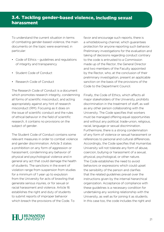To understand the current situation in terms of combating gender-based violence, the main documents on the topic were examined, in particular:

- Code of Ethics guidelines and regulations of integrity and transparency
- Student Code of Conduct
- Research Code of Conduct

The Research Code of Conduct is a document which promotes research integrity, condemning all forms of scientific misconduct, and acting appropriately against any hint of research misconduct (RM). Focusing as it does on the issue of scientific conduct and the rules of ethical behavior in the field of scientific research, it contains no provisions on the subject of gender.

The Student Code of Conduct contains some relevant measures in order to combat violence and gender discrimination. Article 3 states a prohibition on any form of aggression or harassment, condemning any behavior of physical and psychological violence and in general any act that could damage the health of students. The sanctions in the event of violation range from suspension from studies for a minimum of 1 year up to expulsion from the University for acts of brawling that generate serious injuries, or for sexual or racial harassment and violence. Article 16 establishes the right and duty of students to submit reports of improper behavior which breach the provisions of the Code. To

favor and encourage such reports, there is a whistleblowing channel, which guarantees protection for anyone reporting such behavior. Preliminary investigations for the evaluation and taking of decisions regarding conduct contrary to the code is entrusted to a Commission made up of the Rector, the General Director and two members of the Faculty appointed by the Rector, who, at the conclusion of their preliminary investigation, present an applicable sanction on the basis of the provisions of the Code to the Department Council.

Finally, the Code of Ethics, which affects all major stakeholders of the University, prohibits discrimination in the treatment of staff, as well as any other person collaborating with the University. The Code specifies that workers must be managed offering equal opportunities and without any political, trade-union, religious, racial, language or sexual discrimination. Furthermore, there is a strong condemnation of any form of violence or sexual harassment or references to personal and cultural differences. Accordingly, the Code specifies that Humanitas University will not tolerate any form of abuse, coercion, bullying or harassment of a sexual, physical, psychological, or other nature. The Code establishes the need to avoid behaviors or expressions which could upset the sensibility of the person and clarifies that the related guidelines prevail over the instructions given by the internal hierarchical organization. Acceptance of compliance with these guidelines is a necessary condition for undertaking any working relationship with the University, as well as for joining it as students. In this case too, the code includes the right and

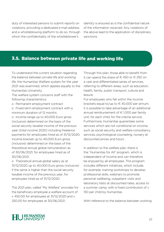duty of interested persons to submit reports on violations, providing a dedicated e-mail address and a whistleblowing platform to do so, through which the confidentiality of the whistleblower's

identity is ensured as is the confidential nature of the information received. Any violations of the above lead to the application of disciplinary sanctions.

# 3.5. Balance between private life and working life

To understand the current situation regarding the balance between private life and working life, the Humanitas Welfare system for the year 2021 was examined, which applies equally to the Humanitas University.

The welfare system concerns staff with the following characteristics:

- o Permanent employment contract
- o Fixed-term employment contract with a minimum duration of 12 months

o Income range up to 40,000 Euro gross (inclusive) determined on the basis of the social security taxable income of the previous year (total income 2020) including freelance payments for employees hired as of 31/12/2020; income bracket up to 40,000 Euro gross (inclusive) determined on the basis of the theoretical annual global remuneration as of 30/06/2021, for employees hired as of 30/06/2021.

o Theoretical annual global salary as at 31/12/2020 up to 40,000 Euro gross (inclusive) if the same is higher than the social security taxable income of the previous year, for employees hired as of 31/12/2020.

The 2021 plan, called "My Welfare" provides for the beneficiary employee a welfare account of  $\epsilon$  450.00 for employees at 31/12/2020 and  $\epsilon$ 250.00 for employees at 30/06/2021.

Through this plan, those able to benefit from it can spend the share of €450 or €250 on a vast and differentiated series of services, referring to different areas, such as education, health, family, public transport, culture and leisure.

For employees who fall within the income brackets equal to/up to  $\in$  40,000 per annum, it is possible to take advantage of an additional annual reimbursement of  $\epsilon$  1,000 per family unit, for each child, for the crèche service. Furthermore, Humanitas guarantees some services which are not conditional on income, such as social security and welfare consultancy services, psychological counseling, nursery at discounted prices and hours.

In addition to the welfare plan, there is the "Humanitas for All" program, which is independent of income and can therefore be enjoyed by all employees. This program includes different initiatives, which include, for example, training workshops to develop professional skills, webinars to promote personal wellbeing, outpatient visits and laboratory tests at discounted rates, access to a summer camp, with a fixed contribution of  $\epsilon$ 150 per child by Humanitas.

With reference to the balance between working

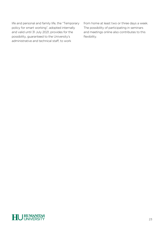life and personal and family life, the "Temporary policy for smart working", adopted internally and valid until 31 July 2021, provides for the possibility, guaranteed to the University's administrative and technical staff, to work

from home at least two or three days a week. The possibility of participating in seminars and meetings online also contributes to this flexibility.

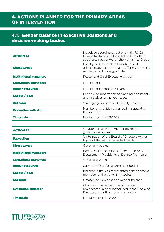# 4. ACTIONS PLANNED FOR THE PRIMARY AREAS OF INTERVENTION

# 4.1. Gender balance in executive positions and decision-making bodies

| <b>ACTION 1.1</b>             | Introduce coordinated actions with IRCCS<br>Humanitas Research Hospital and the other<br>structures networked by the Humanitas Group |
|-------------------------------|--------------------------------------------------------------------------------------------------------------------------------------|
| <b>Direct target</b>          | Faculty and research fellows, technical,<br>administrative and librarian staff, PhD students,<br>residents, and undergraduates       |
| <b>Institutional managers</b> | Rector and Chief Executive Officer                                                                                                   |
| <b>Operational managers</b>   | <b>GEP Manager</b>                                                                                                                   |
| <b>Human resources</b>        | GEP Manager and GEP Team                                                                                                             |
| Output / goal                 | Periodic harmonization of planning documents<br>and initiatives on gender issues                                                     |
| <b>Outcome</b>                | Strategic guidelines of University policies                                                                                          |
| <b>Evaluation indicator</b>   | Number of activities organized in support of<br>the initiative                                                                       |
| <b>Timescale</b>              | Medium term: 2022-2023                                                                                                               |

| <b>ACTION 1.2</b>             | Greater inclusion and gender diversity in<br>governance bodies                                                                |
|-------------------------------|-------------------------------------------------------------------------------------------------------------------------------|
| <b>Sub-action</b>             | 1. Integration of the Board of Directors with a<br>figure of the less represented gender                                      |
| <b>Direct target</b>          | Governing bodies                                                                                                              |
| <b>Institutional managers</b> | Rector, Chief Executive Officer, Director of the<br>Department, Presidents of Degree Programs.                                |
| <b>Operational managers</b>   | Governing bodies                                                                                                              |
| <b>Human resources</b>        | Support offices for government bodies                                                                                         |
| Output / goal                 | Increase in the less represented gender among<br>members of the governing bodies                                              |
| <b>Outcome</b>                | Greater inclusiveness and gender balance                                                                                      |
| <b>Evaluation indicator</b>   | Change in the percentage of the less<br>represented gender introduced in the Board of<br>Directors and other governing bodies |
| Timescale                     | Medium term: 2022-2024                                                                                                        |

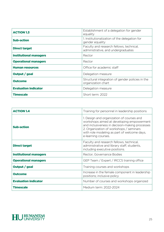| <b>ACTION 1.3</b>             | Establishment of a delegation for gender<br>equality                           |
|-------------------------------|--------------------------------------------------------------------------------|
| <b>Sub-action</b>             | 1. Institutionalization of the delegation for<br>gender equality               |
| <b>Direct target</b>          | Faculty and research fellows, technical,<br>administrative, and undergraduates |
| <b>Institutional managers</b> | Rector                                                                         |
| <b>Operational managers</b>   | Rector                                                                         |
| <b>Human resources</b>        | Office for academic staff                                                      |
| Output / goal                 | Delegation measure                                                             |
| <b>Outcome</b>                | Structural integration of gender policies in the<br>organization chart         |
| <b>Evaluation indicator</b>   | Delegation measure                                                             |
| <b>Timescale</b>              | Short term: 2022                                                               |

| <b>ACTION 1</b>               | Training for personnel in leadership positions                                                                                                                                                                                                            |
|-------------------------------|-----------------------------------------------------------------------------------------------------------------------------------------------------------------------------------------------------------------------------------------------------------|
| <b>Sub-action</b>             | 1. Design and organization of courses and<br>workshops aimed at developing empowerment<br>and inclusiveness in decision-making processes<br>2. Organization of workshops / seminars<br>with role modeling as part of welcome days,<br>e-learning courses. |
| <b>Direct target</b>          | Faculty and research fellows, technical,<br>administrative and library staff, students,<br>including executive positions.                                                                                                                                 |
| <b>Institutional managers</b> | Rector, Governance Bodies                                                                                                                                                                                                                                 |
| <b>Operational managers</b>   | GEP Team / Expert / IRCCS training office                                                                                                                                                                                                                 |
| Output / goal                 | Training courses and workshops                                                                                                                                                                                                                            |
| <b>Outcome</b>                | Increase in the female component in leadership<br>positions; inclusive policy                                                                                                                                                                             |
| <b>Evaluation indicator</b>   | Number of courses and workshops organized                                                                                                                                                                                                                 |
| <b>Timescale</b>              | Medium term: 2022-2024                                                                                                                                                                                                                                    |

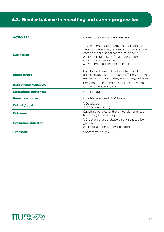# 4.2. Gender balance in recruiting and career progression

| <b>ACTION 2.1</b>             | Career progression data analysis                                                                                                                                                                                                                      |
|-------------------------------|-------------------------------------------------------------------------------------------------------------------------------------------------------------------------------------------------------------------------------------------------------|
| <b>Sub-action</b>             | 1. Collection of quantitative and qualitative<br>data (on personnel, research products, student<br>component) disaggregated by gender<br>2. Monitoring of specific gender equity<br>indicators of personnel<br>3. Systematized analysis of indicators |
| <b>Direct target</b>          | Faculty and research fellows, technical,<br>administrative and librarian staff, PhD students,<br>residents, postgraduates, and undergraduates.                                                                                                        |
| <b>Institutional managers</b> | Personnel Management, Quality Office and<br>Office for academic staff                                                                                                                                                                                 |
| <b>Operational managers</b>   | <b>GEP Manager</b>                                                                                                                                                                                                                                    |
| <b>Human resources</b>        | <b>GEP Manager and GEP Team</b>                                                                                                                                                                                                                       |
| Output / goal                 | 1. Database<br>2. Annual reporting                                                                                                                                                                                                                    |
| <b>Outcome</b>                | Strategic policies of the University oriented<br>towards gender equity.                                                                                                                                                                               |
| <b>Evaluation indicator</b>   | 1. Creation of a database disaggregated by<br>gender<br>2. List of gender equity indicators                                                                                                                                                           |
| <b>Timescale</b>              | Short term: early 2022                                                                                                                                                                                                                                |

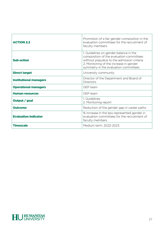| <b>ACTION 2.2</b>             | Promotion of a fair gender composition in the<br>evaluation committees for the recruitment of<br>faculty members                                                                                                      |
|-------------------------------|-----------------------------------------------------------------------------------------------------------------------------------------------------------------------------------------------------------------------|
| <b>Sub-action</b>             | 1. Guidelines on gender balance in the<br>composition of the evaluation committees<br>without prejudice to the admission criteria<br>2. Monitoring of the increase in gender<br>symmetry in the evaluation committees |
| <b>Direct target</b>          | University community                                                                                                                                                                                                  |
| <b>Institutional managers</b> | Director of the Department and Board of<br>Directors                                                                                                                                                                  |
| <b>Operational managers</b>   | GEP team                                                                                                                                                                                                              |
| <b>Human resources</b>        | GFP team                                                                                                                                                                                                              |
| Output / goal                 | 1. Guidelines<br>2. Monitoring report                                                                                                                                                                                 |
| <b>Outcome</b>                | Reduction of the gender gap in career paths                                                                                                                                                                           |
| <b>Evaluation indicator</b>   | % increase in the less represented gender in<br>evaluation committees for the recruitment of<br>faculty members                                                                                                       |
| <b>Timescale</b>              | Medium term: 2022-2023                                                                                                                                                                                                |

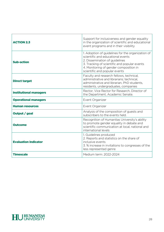| <b>ACTION 2.3</b>             | Support for inclusiveness and gender equality<br>in the organization of scientific and educational<br>event programs and in their visibility                                                                                                        |
|-------------------------------|-----------------------------------------------------------------------------------------------------------------------------------------------------------------------------------------------------------------------------------------------------|
| <b>Sub-action</b>             | 1. Adoption of guidelines for the organization of<br>scientific and educational events<br>2. Dissemination of guidelines<br>3. Tracking of scientific and popular events<br>4. Monitoring of gender composition in<br>scientific and popular events |
| <b>Direct target</b>          | Faculty and research fellows, technical,<br>administrative and librarians; technical,<br>administrative and librarian, PhD students,<br>residents, undergraduates, companies                                                                        |
| <b>Institutional managers</b> | Rector, Vice Rector for Research, Director of<br>the Department, Academic Senate.                                                                                                                                                                   |
| <b>Operational managers</b>   | Event Organizer                                                                                                                                                                                                                                     |
| <b>Human resources</b>        | Event Organizer                                                                                                                                                                                                                                     |
| Output / goal                 | Analysis of the composition of guests and<br>subscribers to the events held.                                                                                                                                                                        |
| <b>Outcome</b>                | Recognition of Humanitas University's ability<br>to promote gender equality in debate and<br>scientific communication at local, national and<br>international levels                                                                                |
| <b>Evaluation indicator</b>   | 1. Guidelines produced<br>2. Reports and statistics on the share of<br>inclusive events<br>3. % increase in invitations to congresses of the<br>less represented genre                                                                              |
| <b>Timescale</b>              | Medium term: 2022-2024                                                                                                                                                                                                                              |

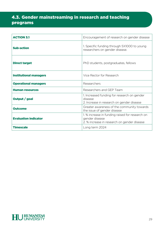# 4.3. Gender mainstreaming in research and teaching programs

| <b>ACTION 3.1</b>             | Encouragement of research on gender disease                                                                      |
|-------------------------------|------------------------------------------------------------------------------------------------------------------|
| <b>Sub-action</b>             | 1. Specific funding through 5X1000 to young<br>researchers on gender disease.                                    |
| <b>Direct target</b>          | PhD students, postgraduates, fellows                                                                             |
| <b>Institutional managers</b> | Vice Rector for Research                                                                                         |
| <b>Operational managers</b>   | Researchers                                                                                                      |
| <b>Human resources</b>        | Researchers and GEP Team                                                                                         |
| Output / goal                 | 1. Increased funding for research on gender<br>disease<br>2. Increase in research on gender disease              |
| <b>Outcome</b>                | Greater awareness of the community towards<br>the issue of gender disease                                        |
| <b>Evaluation indicator</b>   | 1. % increase in funding raised for research on<br>gender disease<br>2. % increase in research on gender disease |
| <b>Timescale</b>              | Long term 2024                                                                                                   |

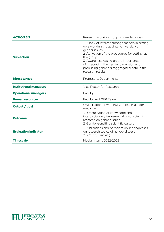| <b>ACTION 3.2</b>             | Research working group on gender issues                                                                                                                                                                                                                                                                                            |
|-------------------------------|------------------------------------------------------------------------------------------------------------------------------------------------------------------------------------------------------------------------------------------------------------------------------------------------------------------------------------|
| <b>Sub-action</b>             | 1. Survey of interest among teachers in setting<br>up a working group (inter-university) on<br>gender issues<br>2. Activation of the procedures for setting up<br>the group<br>3. Awareness raising on the importance<br>of integrating the gender dimension and<br>producing gender-disaggregated data in the<br>research results |
| <b>Direct target</b>          | Professors, Departments                                                                                                                                                                                                                                                                                                            |
| <b>Institutional managers</b> | Vice Rector for Research                                                                                                                                                                                                                                                                                                           |
| <b>Operational managers</b>   | Faculty                                                                                                                                                                                                                                                                                                                            |
| <b>Human resources</b>        | Faculty and GEP Team                                                                                                                                                                                                                                                                                                               |
| Output / goal                 | Organization of working groups on gender<br>medicine                                                                                                                                                                                                                                                                               |
| <b>Outcome</b>                | 1. Dissemination of knowledge and<br>interdisciplinary implementation of scientific<br>research on gender issues<br>2. Gender-sensitive scientific culture                                                                                                                                                                         |
| <b>Evaluation indicator</b>   | 1. Publications and participation in congresses<br>on research topics of gender disease<br>2. Activity Tracking                                                                                                                                                                                                                    |
| <b>Timescale</b>              | Medium term: 2022-2023                                                                                                                                                                                                                                                                                                             |

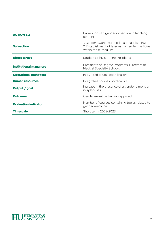| <b>ACTION 3.3</b>             | Promotion of a gender dimension in teaching<br>content                                                                 |
|-------------------------------|------------------------------------------------------------------------------------------------------------------------|
| <b>Sub-action</b>             | 1. Gender awareness in educational planning<br>2. Establishment of lessons on gender medicine<br>within the curriculum |
| <b>Direct target</b>          | Students, PhD students, residents                                                                                      |
| <b>Institutional managers</b> | Presidents of Degree Programs, Directors of<br><b>Medical Specialty Schools</b>                                        |
| <b>Operational managers</b>   | Integrated course coordinators                                                                                         |
| <b>Human resources</b>        | Integrated course coordinators                                                                                         |
| Output / goal                 | Increase in the presence of a gender dimension<br>in syllabuses                                                        |
| <b>Outcome</b>                | Gender-sensitive training approach                                                                                     |
| <b>Evaluation indicator</b>   | Number of courses containing topics related to<br>gender medicine                                                      |
| <b>Timescale</b>              | Short term: 2022-2023                                                                                                  |

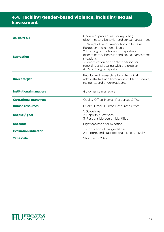# 4.4. Tackling gender-based violence, including sexual harassment

| <b>ACTION 4.1</b>             | Update of procedures for reporting<br>discriminatory behavior and sexual harassment                                                                                                                                                                                                                    |
|-------------------------------|--------------------------------------------------------------------------------------------------------------------------------------------------------------------------------------------------------------------------------------------------------------------------------------------------------|
| <b>Sub-action</b>             | 1. Receipt of recommendations in force at<br>European and national levels<br>2. Drafting of guidelines for reporting<br>discriminatory behavior and sexual harassment<br>situations<br>3. Identification of a contact person for<br>reporting and dealing with the problem<br>4. Monitoring of reports |
| <b>Direct target</b>          | Faculty and research fellows, technical,<br>administrative and librarian staff, PhD students,<br>residents, and undergraduates                                                                                                                                                                         |
| <b>Institutional managers</b> | Governance managers                                                                                                                                                                                                                                                                                    |
|                               |                                                                                                                                                                                                                                                                                                        |
| <b>Operational managers</b>   | Quality Office, Human Resources Office                                                                                                                                                                                                                                                                 |
| <b>Human resources</b>        | Quality Office, Human Resources Office                                                                                                                                                                                                                                                                 |
| Output / goal                 | 1. Guidelines<br>2. Reports / Statistics<br>3. Responsible person identified                                                                                                                                                                                                                           |
| <b>Outcome</b>                | Fight against discrimination                                                                                                                                                                                                                                                                           |
| <b>Evaluation indicator</b>   | 1. Production of the guidelines<br>2. Reports and statistics organized annually                                                                                                                                                                                                                        |

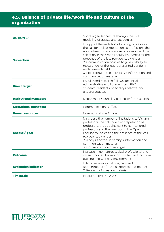# 4.5. Balance of private life/work life and culture of the organization

| <b>ACTION 5.1</b>             | Share a gender culture through the role<br>modeling of guests and academics.                                                                                                                                                                                                                                                                                                                                                                                    |
|-------------------------------|-----------------------------------------------------------------------------------------------------------------------------------------------------------------------------------------------------------------------------------------------------------------------------------------------------------------------------------------------------------------------------------------------------------------------------------------------------------------|
| <b>Sub-action</b>             | 1. Support the invitation of visiting professors,<br>the call for a clear reputation as professors, the<br>appointment to non-tenure professors and the<br>selection in the Open Faculty by increasing the<br>presence of the less represented gender<br>2. Communication policies to give visibility to<br>researchers of the less represented gender in<br>each research field<br>3. Monitoring of the university's information and<br>communication material |
| <b>Direct target</b>          | Faculty and research fellows, technical,<br>administrative and librarian staff, PhD<br>students, residents, specialitys, fellows, and<br>undergraduates                                                                                                                                                                                                                                                                                                         |
| <b>Institutional managers</b> | Department Council, Vice Rector for Research                                                                                                                                                                                                                                                                                                                                                                                                                    |
| <b>Operational managers</b>   | <b>Communications Office</b>                                                                                                                                                                                                                                                                                                                                                                                                                                    |
| <b>Human resources</b>        | <b>Communications Office</b>                                                                                                                                                                                                                                                                                                                                                                                                                                    |
| Output / goal                 | 1. Increase the number of invitations to Visiting<br>professors, the call for a clear reputation as<br>professors, the appointment to non-tenured<br>professors and the selection in the Open<br>Faculty by increasing the presence of the less<br>represented gender<br>2. Analysis of the university's information and<br>communication material<br>3. Communication campaigns                                                                                |
| <b>Outcome</b>                | Increase in non-stereotypical professional and<br>career choices. Promotion of a fair and inclusive<br>training and working environment                                                                                                                                                                                                                                                                                                                         |
| <b>Evaluation indicator</b>   | 1. % increase in invitations, calls and<br>appointments of the less represented gender<br>2. Product information material                                                                                                                                                                                                                                                                                                                                       |
| <b>Timescale</b>              | Medium term: 2022-2024                                                                                                                                                                                                                                                                                                                                                                                                                                          |

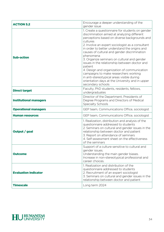| <b>ACTION 5.2</b>             | Encourage a deeper understanding of the<br>gender issue                                                                                                                                                                                                                                                                                                                                                                                                                                                                                                                                                                                                |
|-------------------------------|--------------------------------------------------------------------------------------------------------------------------------------------------------------------------------------------------------------------------------------------------------------------------------------------------------------------------------------------------------------------------------------------------------------------------------------------------------------------------------------------------------------------------------------------------------------------------------------------------------------------------------------------------------|
| <b>Sub-action</b>             | 1. Create a questionnaire for students on gender<br>discrimination aimed at analyzing different<br>perceptions based on diverse backgrounds and<br>cultures<br>2. Involve an expert sociologist as a consultant<br>in order to better understand the origins and<br>causes of cultural and gender discrimination<br>phenomena<br>3. Organize seminars on cultural and gender<br>issues in the relationship between doctor and<br>patient<br>4. Design and organization of communication<br>campaigns to make researchers working<br>in anti-stereotypical areas visible during<br>orientation days at the University and in upper<br>secondary schools |
| <b>Direct target</b>          | Faculty, PhD students, residents, fellows,<br>undergraduates                                                                                                                                                                                                                                                                                                                                                                                                                                                                                                                                                                                           |
| <b>Institutional managers</b> | Director of the Department, Presidents of<br>Degree Programs and Directors of Medical<br><b>Specialty Schools</b>                                                                                                                                                                                                                                                                                                                                                                                                                                                                                                                                      |
| <b>Operational managers</b>   | GEP team, Communications Office, sociologist                                                                                                                                                                                                                                                                                                                                                                                                                                                                                                                                                                                                           |
| Human resources               | GEP team, Communications Office, sociologist                                                                                                                                                                                                                                                                                                                                                                                                                                                                                                                                                                                                           |
| Output / goal                 | 1. Realization, distribution and analysis of the<br>questionnaire addressed to students<br>2. Seminars on cultural and gender issues in the<br>relationship between doctor and patient<br>3. Report on attendance of seminars<br>4. Self-assessment sheet on the effectiveness<br>of the seminars                                                                                                                                                                                                                                                                                                                                                      |
| <b>Outcome</b>                | Support of a culture sensitive to cultural and<br>gender issues.<br>Understanding the main gender biases.<br>Increase in non-stereotypical professional and<br>career choices.                                                                                                                                                                                                                                                                                                                                                                                                                                                                         |
| <b>Evaluation indicator</b>   | 1. Realization and distribution of the<br>questionnaire addressed to students<br>2. Recruitment of an expert sociologist<br>3. Seminars on cultural and gender issues in the<br>relationship between doctor and patient                                                                                                                                                                                                                                                                                                                                                                                                                                |
| <b>Timescale</b>              | Long term 2024                                                                                                                                                                                                                                                                                                                                                                                                                                                                                                                                                                                                                                         |

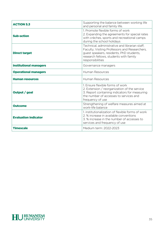| <b>ACTION 5.3</b>             | Supporting the balance between working life<br>and personal and family life.                                                                                                                              |
|-------------------------------|-----------------------------------------------------------------------------------------------------------------------------------------------------------------------------------------------------------|
| <b>Sub-action</b>             | 1. Promote flexible forms of work<br>2. Expanding the agreements for special rates<br>with crèches, sports and recreational camps<br>during the school holidays                                           |
| <b>Direct target</b>          | Technical, administrative and librarian staff,<br>Faculty, Visiting Professors and Researchers,<br>guest speakers, residents, PhD students,<br>research fellows, students with family<br>responsibilities |
| <b>Institutional managers</b> | Governance managers                                                                                                                                                                                       |
| <b>Operational managers</b>   | <b>Human Resources</b>                                                                                                                                                                                    |
| <b>Human resources</b>        | <b>Human Resources</b>                                                                                                                                                                                    |
| Output / goal                 | 1. Ensure flexible forms of work<br>2. Extension / reorganization of the service<br>3. Report containing indicators for measuring<br>the number of accesses to services and<br>frequency of use           |
| <b>Outcome</b>                | Strengthening of welfare measures aimed at<br>work-life balance                                                                                                                                           |
| <b>Evaluation indicator</b>   | 1. institutionalization of flexible forms of work<br>2. % increase in available conventions<br>3. % increase in the number of accesses to<br>services and frequency of use                                |
| <b>Timescale</b>              | Medium term: 2022-2023                                                                                                                                                                                    |

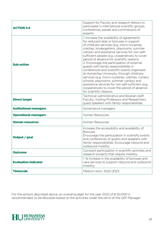| <b>ACTION 5.4</b>             | Support for Faculty and research fellows to<br>participate in international scientific groups,<br>conferences, panels and commissions of<br>experts                                                                                                                                                                                                                                                                                                                                                                                                                                                                                                                                                                                                 |
|-------------------------------|-----------------------------------------------------------------------------------------------------------------------------------------------------------------------------------------------------------------------------------------------------------------------------------------------------------------------------------------------------------------------------------------------------------------------------------------------------------------------------------------------------------------------------------------------------------------------------------------------------------------------------------------------------------------------------------------------------------------------------------------------------|
| <b>Sub-action</b>             | 1. Increase the availability of agreements<br>for reduced rates or bonuses in support<br>of childcare services (e.g. micro-nurseries,<br>crèches, kindergartens, playrooms, summer<br>camps) and assistance services for non-self-<br>sufficient people (e.g. cooperatives) to cover<br>period of absence for scientific reasons.<br>2. Encourage the participation of external<br>guests with family responsibilities in<br>conferences and scientific events organized<br>at Humanitas University, through childcare<br>services (e.g. micro-nurseries, crèches, nursery<br>schools, playrooms, summer camps) and<br>assistance services for non-self-sufficient (e.g.<br>cooperatives) to cover the period of absence<br>for scientific reasons. |
| <b>Direct target</b>          | Technical, administrative and librarian staff,<br>Faculty, Visiting Professors and Researchers,<br>guest speakers with family responsibilities                                                                                                                                                                                                                                                                                                                                                                                                                                                                                                                                                                                                      |
| <b>Institutional managers</b> | Governance managers                                                                                                                                                                                                                                                                                                                                                                                                                                                                                                                                                                                                                                                                                                                                 |
| <b>Operational managers</b>   | Human Resources                                                                                                                                                                                                                                                                                                                                                                                                                                                                                                                                                                                                                                                                                                                                     |
| <b>Human resources</b>        | <b>Human Resources</b>                                                                                                                                                                                                                                                                                                                                                                                                                                                                                                                                                                                                                                                                                                                              |
| Output / goal                 | Increase the accessibility and availability of<br><b>Bonuses</b><br>Encourage the participation in scientific events<br>and conferences of guests and speakers with<br>family responsibilities. Encourage inbound and<br>outbound mobility                                                                                                                                                                                                                                                                                                                                                                                                                                                                                                          |
| <b>Outcome</b>                | Constant participation in scientific activities and<br>research projects that require mobility.                                                                                                                                                                                                                                                                                                                                                                                                                                                                                                                                                                                                                                                     |
| <b>Evaluation indicator</b>   | 1. % increase in the availability of bonuses and<br>care services to support inbound and outbound<br>mobility                                                                                                                                                                                                                                                                                                                                                                                                                                                                                                                                                                                                                                       |
| <b>Timescale</b>              | Medium term: 2022-2023                                                                                                                                                                                                                                                                                                                                                                                                                                                                                                                                                                                                                                                                                                                              |

For the actions described above, an overall budget for the year 2022 of € 50.000 is recommended, to be allocated based on the activities under the remit of the GEP Manager.